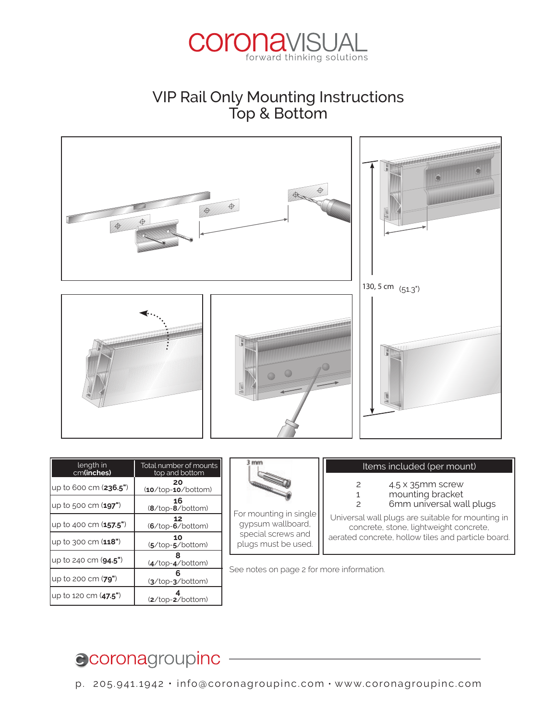

### VIP Rail Only Mounting Instructions Top & Bottom



| length in<br>cm(inches)         | Total number of mounts<br>top and bottom | mm                                                                      |
|---------------------------------|------------------------------------------|-------------------------------------------------------------------------|
| lup to 600 cm ( <b>236.5"</b> ) | 20<br>$(10/top-10/bottom)$               | For mounting in :<br>gypsum wallbo<br>special screws<br>plugs must be ı |
| lup to 500 cm ( <b>197"</b> )   | 16<br>$(8/\text{top-}8/\text{bottom})$   |                                                                         |
| lup to 400 cm ( <b>157.5"</b> ) | $(6/\text{top-}6/\text{bottom})$         |                                                                         |
| lup to 300 cm ( <b>118"</b> )   | 10<br>$(5/\text{top-}5/\text{bottom})$   |                                                                         |
| up to 240 cm ( <b>94.5"</b> )   | $(4/top-4/bottom)$                       | See notes on pag                                                        |
| lup to 200 cm ( <b>79"</b> )    | $(3/\text{top-}3/\text{bottom})$         |                                                                         |
| up to 120 cm ( <b>47.5"</b> )   | $(2/\text{top-}2/\text{bottom})$         |                                                                         |



 $\overline{\phantom{a}}$  $\Box$  plugs must be used. lightweight concrete, gas concrete, For mounting in single gypsum wallboard, special screws and

### **Items included (per mount)**

 $\mathbf{1}$   $\mathbf{2}$ 35 mmscrew 2 4.5 x 35mm screw

 $1$  $\overline{c}$ 

plasterboards, hollow tiles and

- 1ting bracket 1 mounting bracket
- 2 6mm universal wall plugs

gips, l ochziegeln und spann-

| aerated concrete, hollow tiles and particle board. gypsum wallboard, || concrete, stone, lightweight concrete, Universal wall plugs are suitable for mounting in

.<br>See notes on page 2 for more information.

#### vedlagte monteringssæt ikke passer til væggens/loftets beskaenhed.  $\bullet$  coronagroupinc  $\overline{\phantom{a}}$   $\overline{\phantom{a}}$   $\overline{\phantom{a}}$   $\overline{\phantom{a}}$   $\overline{\phantom{a}}$   $\overline{\phantom{a}}$   $\overline{\phantom{a}}$   $\overline{\phantom{a}}$   $\overline{\phantom{a}}$   $\overline{\phantom{a}}$   $\overline{\phantom{a}}$   $\overline{\phantom{a}}$   $\overline{\phantom{a}}$   $\overline{\phantom{a}}$   $\overline{\phantom{a}}$   $\overline{\phantom{a}}$   $\overline{\phantom{a$

p. 205.941.1942  $\cdot$  info@coronagroupinc.com  $\cdot$  www.coronagroupinc.com